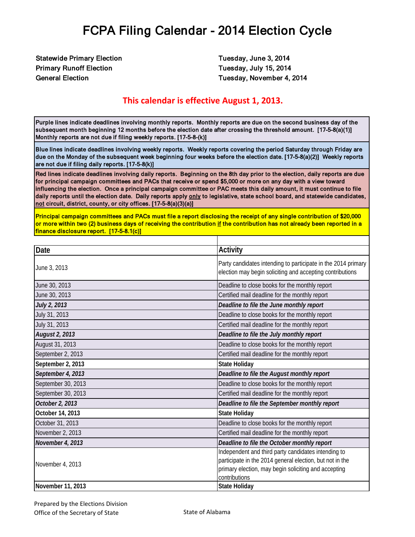Statewide Primary Election **Tuesday, June 3, 2014** Primary Runoff Election Tuesday, July 15, 2014

General Election **Tuesday, November 4, 2014** 

#### **This calendar is effective August 1, 2013.**

Purple lines indicate deadlines involving monthly reports. Monthly reports are due on the second business day of the subsequent month beginning 12 months before the election date after crossing the threshold amount. [17-5-8(a)(1)] Monthly reports are not due if filing weekly reports. [17-5-8-(k)]

Blue lines indicate deadlines involving weekly reports. Weekly reports covering the period Saturday through Friday are due on the Monday of the subsequent week beginning four weeks before the election date. [17-5-8(a)(2)] Weekly reports are not due if filing daily reports. [17-5-8(k)]

Red lines indicate deadlines involving daily reports. Beginning on the 8th day prior to the election, daily reports are due for principal campaign committees and PACs that receive or spend \$5,000 or more on any day with a view toward influencing the election. Once a principal campaign committee or PAC meets this daily amount, it must continue to file daily reports until the election date. Daily reports apply only to legislative, state school board, and statewide candidates, not circuit, district, county, or city offices. [17-5-8(a)(3)(a)]

Principal campaign committees and PACs must file a report disclosing the receipt of any single contribution of \$20,000 or more within two (2) business days of receiving the contribution if the contribution has not already been reported in a finance disclosure report. [17-5-8.1(c)]

| Date               | <b>Activity</b>                                                                                                                                                                          |
|--------------------|------------------------------------------------------------------------------------------------------------------------------------------------------------------------------------------|
| June 3, 2013       | Party candidates intending to participate in the 2014 primary<br>election may begin soliciting and accepting contributions                                                               |
| June 30, 2013      | Deadline to close books for the monthly report                                                                                                                                           |
| June 30, 2013      | Certified mail deadline for the monthly report                                                                                                                                           |
| July 2, 2013       | Deadline to file the June monthly report                                                                                                                                                 |
| July 31, 2013      | Deadline to close books for the monthly report                                                                                                                                           |
| July 31, 2013      | Certified mail deadline for the monthly report                                                                                                                                           |
| August 2, 2013     | Deadline to file the July monthly report                                                                                                                                                 |
| August 31, 2013    | Deadline to close books for the monthly report                                                                                                                                           |
| September 2, 2013  | Certified mail deadline for the monthly report                                                                                                                                           |
| September 2, 2013  | <b>State Holiday</b>                                                                                                                                                                     |
| September 4, 2013  | Deadline to file the August monthly report                                                                                                                                               |
| September 30, 2013 | Deadline to close books for the monthly report                                                                                                                                           |
| September 30, 2013 | Certified mail deadline for the monthly report                                                                                                                                           |
| October 2, 2013    | Deadline to file the September monthly report                                                                                                                                            |
| October 14, 2013   | <b>State Holiday</b>                                                                                                                                                                     |
| October 31, 2013   | Deadline to close books for the monthly report                                                                                                                                           |
| November 2, 2013   | Certified mail deadline for the monthly report                                                                                                                                           |
| November 4, 2013   | Deadline to file the October monthly report                                                                                                                                              |
| November 4, 2013   | Independent and third party candidates intending to<br>participate in the 2014 general election, but not in the<br>primary election, may begin soliciting and accepting<br>contributions |
| November 11, 2013  | <b>State Holiday</b>                                                                                                                                                                     |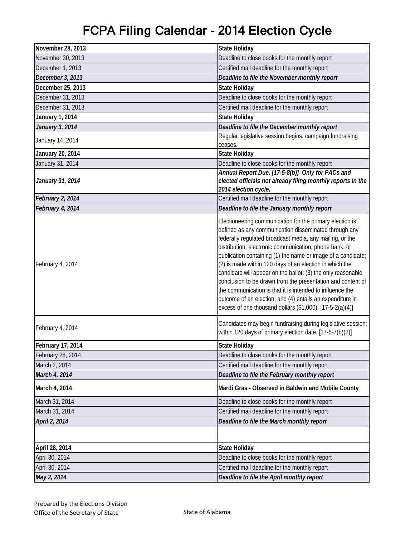| November 28, 2013 | <b>State Holiday</b>                                                                                                                                                                                                                                                                                                                                                                                                                                                                                                                                                                                                                                                                    |
|-------------------|-----------------------------------------------------------------------------------------------------------------------------------------------------------------------------------------------------------------------------------------------------------------------------------------------------------------------------------------------------------------------------------------------------------------------------------------------------------------------------------------------------------------------------------------------------------------------------------------------------------------------------------------------------------------------------------------|
| November 30, 2013 | Deadline to close books for the monthly report                                                                                                                                                                                                                                                                                                                                                                                                                                                                                                                                                                                                                                          |
| December 1, 2013  | Certified mail deadline for the monthly report                                                                                                                                                                                                                                                                                                                                                                                                                                                                                                                                                                                                                                          |
| December 3, 2013  | Deadline to file the November monthly report                                                                                                                                                                                                                                                                                                                                                                                                                                                                                                                                                                                                                                            |
| December 25, 2013 | <b>State Holiday</b>                                                                                                                                                                                                                                                                                                                                                                                                                                                                                                                                                                                                                                                                    |
| December 31, 2013 | Deadline to close books for the monthly report                                                                                                                                                                                                                                                                                                                                                                                                                                                                                                                                                                                                                                          |
| December 31, 2013 | Certified mail deadline for the monthly report                                                                                                                                                                                                                                                                                                                                                                                                                                                                                                                                                                                                                                          |
| January 1, 2014   | <b>State Holiday</b>                                                                                                                                                                                                                                                                                                                                                                                                                                                                                                                                                                                                                                                                    |
| January 3, 2014   | Deadline to file the December monthly report                                                                                                                                                                                                                                                                                                                                                                                                                                                                                                                                                                                                                                            |
| January 14, 2014  | Regular legislative session begins; campaign fundraising<br>ceases.                                                                                                                                                                                                                                                                                                                                                                                                                                                                                                                                                                                                                     |
| January 20, 2014  | <b>State Holiday</b>                                                                                                                                                                                                                                                                                                                                                                                                                                                                                                                                                                                                                                                                    |
| January 31, 2014  | Deadline to close books for the monthly report                                                                                                                                                                                                                                                                                                                                                                                                                                                                                                                                                                                                                                          |
| January 31, 2014  | Annual Report Due. [17-5-8(b)] Only for PACs and<br>elected officials not already filing monthly reports in the<br>2014 election cycle.                                                                                                                                                                                                                                                                                                                                                                                                                                                                                                                                                 |
| February 2, 2014  | Certified mail deadline for the monthly report                                                                                                                                                                                                                                                                                                                                                                                                                                                                                                                                                                                                                                          |
| February 4, 2014  | Deadline to file the January monthly report                                                                                                                                                                                                                                                                                                                                                                                                                                                                                                                                                                                                                                             |
| February 4, 2014  | Electioneering communication for the primary election is<br>defined as any communication disseminated through any<br>federally regulated broadcast media, any mailing, or the<br>distribution, electronic communication, phone bank, or<br>publication containing (1) the name or image of a candidate;<br>(2) is made within 120 days of an election in which the<br>candidate will appear on the ballot; (3) the only reasonable<br>conclusion to be drawn from the presentation and content of<br>the communication is that it is intended to influence the<br>outcome of an election; and (4) entails an expenditure in<br>excess of one thousand dollars (\$1,000). [17-5-2(a)(4)] |
| February 4, 2014  | Candidates may begin fundraising during legislative session;<br>within 120 days of primary election date. [17-5-7(b)(2)]                                                                                                                                                                                                                                                                                                                                                                                                                                                                                                                                                                |
| February 17, 2014 | <b>State Holiday</b>                                                                                                                                                                                                                                                                                                                                                                                                                                                                                                                                                                                                                                                                    |
| February 28, 2014 | Deadline to close books for the monthly report                                                                                                                                                                                                                                                                                                                                                                                                                                                                                                                                                                                                                                          |
| March 2, 2014     | Certified mail deadline for the monthly report                                                                                                                                                                                                                                                                                                                                                                                                                                                                                                                                                                                                                                          |
| March 4, 2014     | Deadline to file the February monthly report                                                                                                                                                                                                                                                                                                                                                                                                                                                                                                                                                                                                                                            |
| March 4, 2014     | Mardi Gras - Observed in Baldwin and Mobile County                                                                                                                                                                                                                                                                                                                                                                                                                                                                                                                                                                                                                                      |
| March 31, 2014    | Deadline to close books for the monthly report                                                                                                                                                                                                                                                                                                                                                                                                                                                                                                                                                                                                                                          |
| March 31, 2014    | Certified mail deadline for the monthly report                                                                                                                                                                                                                                                                                                                                                                                                                                                                                                                                                                                                                                          |
| April 2, 2014     | Deadline to file the March monthly report                                                                                                                                                                                                                                                                                                                                                                                                                                                                                                                                                                                                                                               |
|                   |                                                                                                                                                                                                                                                                                                                                                                                                                                                                                                                                                                                                                                                                                         |
| April 28, 2014    | <b>State Holiday</b>                                                                                                                                                                                                                                                                                                                                                                                                                                                                                                                                                                                                                                                                    |
| April 30, 2014    | Deadline to close books for the monthly report                                                                                                                                                                                                                                                                                                                                                                                                                                                                                                                                                                                                                                          |
| April 30, 2014    | Certified mail deadline for the monthly report                                                                                                                                                                                                                                                                                                                                                                                                                                                                                                                                                                                                                                          |
| May 2, 2014       | Deadline to file the April monthly report                                                                                                                                                                                                                                                                                                                                                                                                                                                                                                                                                                                                                                               |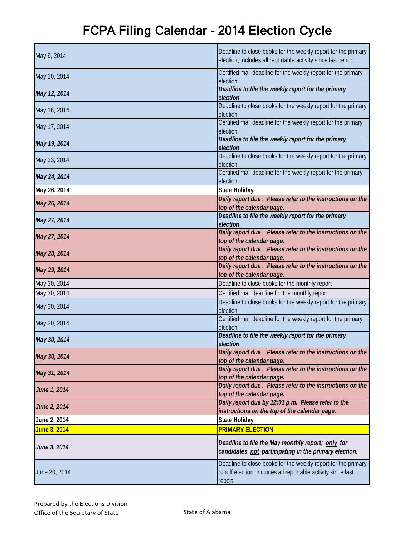| May 9, 2014   | Deadline to close books for the weekly report for the primary<br>election; includes all reportable activity since last report           |
|---------------|-----------------------------------------------------------------------------------------------------------------------------------------|
| May 10, 2014  | Certified mail deadline for the weekly report for the primary<br>election                                                               |
| May 12, 2014  | Deadline to file the weekly report for the primary<br>election                                                                          |
| May 16, 2014  | Deadline to close books for the weekly report for the primary<br>election                                                               |
| May 17, 2014  | Certified mail deadline for the weekly report for the primary<br>election                                                               |
| May 19, 2014  | Deadline to file the weekly report for the primary<br>election                                                                          |
| May 23, 2014  | Deadline to close books for the weekly report for the primary<br>election                                                               |
| May 24, 2014  | Certified mail deadline for the weekly report for the primary<br>election                                                               |
| May 26, 2014  | <b>State Holiday</b>                                                                                                                    |
| May 26, 2014  | Daily report due . Please refer to the instructions on the<br>top of the calendar page.                                                 |
| May 27, 2014  | Deadline to file the weekly report for the primary<br>election                                                                          |
| May 27, 2014  | Daily report due . Please refer to the instructions on the<br>top of the calendar page.                                                 |
| May 28, 2014  | Daily report due . Please refer to the instructions on the<br>top of the calendar page.                                                 |
| May 29, 2014  | Daily report due . Please refer to the instructions on the<br>top of the calendar page.                                                 |
| May 30, 2014  | Deadline to close books for the monthly report                                                                                          |
| May 30, 2014  | Certified mail deadline for the monthly report                                                                                          |
| May 30, 2014  | Deadline to close books for the weekly report for the primary<br>election                                                               |
| May 30, 2014  | Certified mail deadline for the weekly report for the primary<br>election                                                               |
| May 30, 2014  | Deadline to file the weekly report for the primary<br>election                                                                          |
| May 30, 2014  | Daily report due . Please refer to the instructions on the<br>top of the calendar page.                                                 |
| May 31, 2014  | Daily report due. Please refer to the instructions on the<br>top of the calendar page.                                                  |
| June 1, 2014  | Daily report due. Please refer to the instructions on the<br>top of the calendar page.                                                  |
| June 2, 2014  | Daily report due by 12:01 p.m. Please refer to the<br>instructions on the top of the calendar page.                                     |
| June 2, 2014  | <b>State Holiday</b>                                                                                                                    |
| June 3, 2014  | <b>PRIMARY ELECTION</b>                                                                                                                 |
| June 3, 2014  | Deadline to file the May monthly report; only for<br>candidates not participating in the primary election.                              |
| June 20, 2014 | Deadline to close books for the weekly report for the primary<br>runoff election; includes all reportable activity since last<br>report |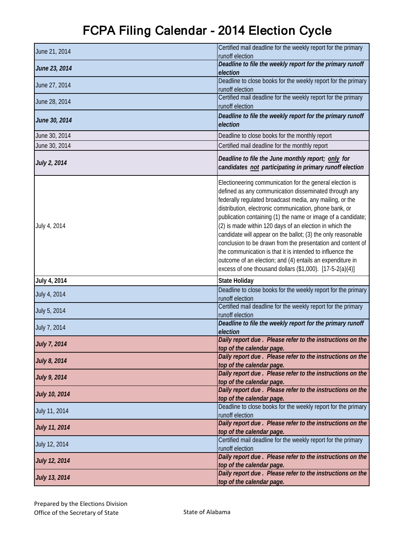| June 21, 2014        | Certified mail deadline for the weekly report for the primary<br>runoff election                                                                                                                                                                                                                                                                                                                                                                                                                                                                                                                                                                                                        |
|----------------------|-----------------------------------------------------------------------------------------------------------------------------------------------------------------------------------------------------------------------------------------------------------------------------------------------------------------------------------------------------------------------------------------------------------------------------------------------------------------------------------------------------------------------------------------------------------------------------------------------------------------------------------------------------------------------------------------|
| June 23, 2014        | Deadline to file the weekly report for the primary runoff<br>election                                                                                                                                                                                                                                                                                                                                                                                                                                                                                                                                                                                                                   |
| June 27, 2014        | Deadline to close books for the weekly report for the primary<br>runoff election                                                                                                                                                                                                                                                                                                                                                                                                                                                                                                                                                                                                        |
| June 28, 2014        | Certified mail deadline for the weekly report for the primary<br>runoff election                                                                                                                                                                                                                                                                                                                                                                                                                                                                                                                                                                                                        |
| June 30, 2014        | Deadline to file the weekly report for the primary runoff<br>election                                                                                                                                                                                                                                                                                                                                                                                                                                                                                                                                                                                                                   |
| June 30, 2014        | Deadline to close books for the monthly report                                                                                                                                                                                                                                                                                                                                                                                                                                                                                                                                                                                                                                          |
| June 30, 2014        | Certified mail deadline for the monthly report                                                                                                                                                                                                                                                                                                                                                                                                                                                                                                                                                                                                                                          |
| July 2, 2014         | Deadline to file the June monthly report; only for<br>candidates not participating in primary runoff election                                                                                                                                                                                                                                                                                                                                                                                                                                                                                                                                                                           |
| July 4, 2014         | Electioneering communication for the general election is<br>defined as any communication disseminated through any<br>federally regulated broadcast media, any mailing, or the<br>distribution, electronic communication, phone bank, or<br>publication containing (1) the name or image of a candidate;<br>(2) is made within 120 days of an election in which the<br>candidate will appear on the ballot; (3) the only reasonable<br>conclusion to be drawn from the presentation and content of<br>the communication is that it is intended to influence the<br>outcome of an election; and (4) entails an expenditure in<br>excess of one thousand dollars (\$1,000). [17-5-2(a)(4)] |
| July 4, 2014         | <b>State Holiday</b>                                                                                                                                                                                                                                                                                                                                                                                                                                                                                                                                                                                                                                                                    |
| July 4, 2014         | Deadline to close books for the weekly report for the primary<br>runoff election                                                                                                                                                                                                                                                                                                                                                                                                                                                                                                                                                                                                        |
| July 5, 2014         | Certified mail deadline for the weekly report for the primary<br>runoff election                                                                                                                                                                                                                                                                                                                                                                                                                                                                                                                                                                                                        |
| July 7, 2014         | Deadline to file the weekly report for the primary runoff<br>election                                                                                                                                                                                                                                                                                                                                                                                                                                                                                                                                                                                                                   |
| <b>July 7, 2014</b>  | Daily report due. Please refer to the instructions on the<br>top of the calendar page.                                                                                                                                                                                                                                                                                                                                                                                                                                                                                                                                                                                                  |
| July 8, 2014         | Daily report due . Please refer to the instructions on the<br>top of the calendar page.                                                                                                                                                                                                                                                                                                                                                                                                                                                                                                                                                                                                 |
| <b>July 9, 2014</b>  | Daily report due . Please refer to the instructions on the<br>top of the calendar page.                                                                                                                                                                                                                                                                                                                                                                                                                                                                                                                                                                                                 |
| <b>July 10, 2014</b> | Daily report due . Please refer to the instructions on the<br>top of the calendar page.                                                                                                                                                                                                                                                                                                                                                                                                                                                                                                                                                                                                 |
| July 11, 2014        | Deadline to close books for the weekly report for the primary<br>runoff election                                                                                                                                                                                                                                                                                                                                                                                                                                                                                                                                                                                                        |
| <b>July 11, 2014</b> | Daily report due . Please refer to the instructions on the<br>top of the calendar page.                                                                                                                                                                                                                                                                                                                                                                                                                                                                                                                                                                                                 |
| July 12, 2014        | Certified mail deadline for the weekly report for the primary<br>runoff election                                                                                                                                                                                                                                                                                                                                                                                                                                                                                                                                                                                                        |
| <b>July 12, 2014</b> | Daily report due . Please refer to the instructions on the<br>top of the calendar page.                                                                                                                                                                                                                                                                                                                                                                                                                                                                                                                                                                                                 |
| <b>July 13, 2014</b> | Daily report due. Please refer to the instructions on the<br>top of the calendar page.                                                                                                                                                                                                                                                                                                                                                                                                                                                                                                                                                                                                  |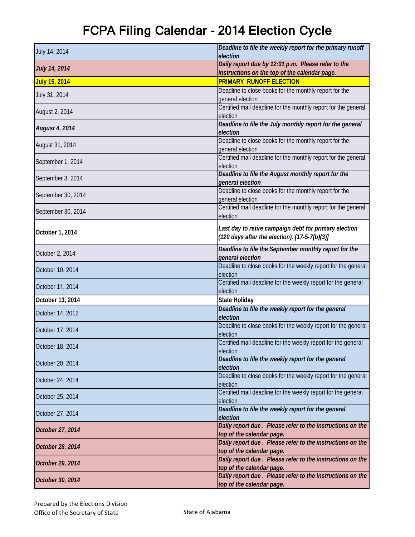| July 14, 2014        | Deadline to file the weekly report for the primary runoff                                                        |
|----------------------|------------------------------------------------------------------------------------------------------------------|
|                      | election                                                                                                         |
| <b>July 14, 2014</b> | Daily report due by 12:01 p.m. Please refer to the<br>instructions on the top of the calendar page.              |
| July 15, 2014        | <b>PRIMARY RUNOFF ELECTION</b>                                                                                   |
|                      | Deadline to close books for the monthly report for the                                                           |
| July 31, 2014        | general election                                                                                                 |
|                      | Certified mail deadline for the monthly report for the general                                                   |
| August 2, 2014       | election                                                                                                         |
| August 4, 2014       | Deadline to file the July monthly report for the general<br>election                                             |
| August 31, 2014      | Deadline to close books for the monthly report for the<br>general election                                       |
| September 1, 2014    | Certified mail deadline for the monthly report for the general<br>election                                       |
| September 3, 2014    | Deadline to file the August monthly report for the<br>general election                                           |
| September 30, 2014   | Deadline to close books for the monthly report for the<br>general election                                       |
| September 30, 2014   | Certified mail deadline for the monthly report for the general<br>election                                       |
| October 1, 2014      | Last day to retire campaign debt for primary election<br>$(120 \text{ days after the election}). [17-5-7(b)(3)]$ |
| October 2, 2014      | Deadline to file the September monthly report for the<br>general election                                        |
| October 10, 2014     | Deadline to close books for the weekly report for the general<br>election                                        |
| October 11, 2014     | Certified mail deadline for the weekly report for the general<br>election                                        |
| October 13, 2014     | <b>State Holiday</b>                                                                                             |
| October 14, 2012     | Deadline to file the weekly report for the general<br>election                                                   |
| October 17, 2014     | Deadline to close books for the weekly report for the general<br>election                                        |
| October 18, 2014     | Certified mail deadline for the weekly report for the general<br>election                                        |
| October 20, 2014     | Deadline to file the weekly report for the general<br>election                                                   |
| October 24, 2014     | Deadline to close books for the weekly report for the general<br>election                                        |
| October 25, 2014     | Certified mail deadline for the weekly report for the general<br>election                                        |
| October 27, 2014     | Deadline to file the weekly report for the general<br>election                                                   |
| October 27, 2014     | Daily report due. Please refer to the instructions on the<br>top of the calendar page.                           |
| October 28, 2014     | Daily report due . Please refer to the instructions on the<br>top of the calendar page.                          |
| October 29, 2014     | Daily report due . Please refer to the instructions on the<br>top of the calendar page.                          |
| October 30, 2014     | Daily report due . Please refer to the instructions on the<br>top of the calendar page.                          |